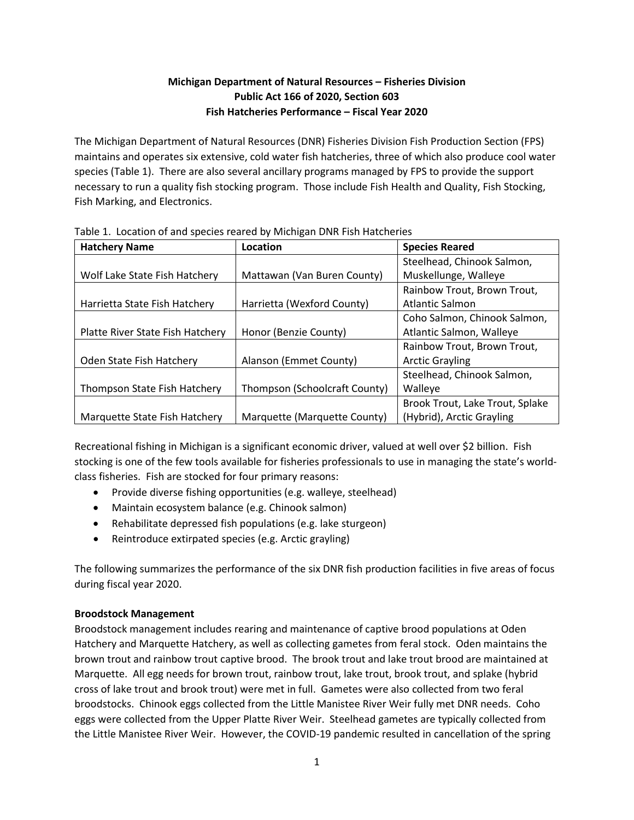# **Michigan Department of Natural Resources – Fisheries Division Public Act 166 of 2020, Section 603 Fish Hatcheries Performance – Fiscal Year 2020**

The Michigan Department of Natural Resources (DNR) Fisheries Division Fish Production Section (FPS) maintains and operates six extensive, cold water fish hatcheries, three of which also produce cool water species (Table 1). There are also several ancillary programs managed by FPS to provide the support necessary to run a quality fish stocking program. Those include Fish Health and Quality, Fish Stocking, Fish Marking, and Electronics.

| <b>Hatchery Name</b>             | Location                      | <b>Species Reared</b>           |
|----------------------------------|-------------------------------|---------------------------------|
|                                  |                               | Steelhead, Chinook Salmon,      |
| Wolf Lake State Fish Hatchery    | Mattawan (Van Buren County)   | Muskellunge, Walleye            |
|                                  |                               | Rainbow Trout, Brown Trout,     |
| Harrietta State Fish Hatchery    | Harrietta (Wexford County)    | Atlantic Salmon                 |
|                                  |                               | Coho Salmon, Chinook Salmon,    |
| Platte River State Fish Hatchery | Honor (Benzie County)         | Atlantic Salmon, Walleye        |
|                                  |                               | Rainbow Trout, Brown Trout,     |
| Oden State Fish Hatchery         | Alanson (Emmet County)        | <b>Arctic Grayling</b>          |
|                                  |                               | Steelhead, Chinook Salmon,      |
| Thompson State Fish Hatchery     | Thompson (Schoolcraft County) | Walleye                         |
|                                  |                               | Brook Trout, Lake Trout, Splake |
| Marquette State Fish Hatchery    | Marquette (Marquette County)  | (Hybrid), Arctic Grayling       |

Table 1. Location of and species reared by Michigan DNR Fish Hatcheries

Recreational fishing in Michigan is a significant economic driver, valued at well over \$2 billion. Fish stocking is one of the few tools available for fisheries professionals to use in managing the state's worldclass fisheries. Fish are stocked for four primary reasons:

- Provide diverse fishing opportunities (e.g. walleye, steelhead)
- Maintain ecosystem balance (e.g. Chinook salmon)
- Rehabilitate depressed fish populations (e.g. lake sturgeon)
- Reintroduce extirpated species (e.g. Arctic grayling)

The following summarizes the performance of the six DNR fish production facilities in five areas of focus during fiscal year 2020.

# **Broodstock Management**

Broodstock management includes rearing and maintenance of captive brood populations at Oden Hatchery and Marquette Hatchery, as well as collecting gametes from feral stock. Oden maintains the brown trout and rainbow trout captive brood. The brook trout and lake trout brood are maintained at Marquette. All egg needs for brown trout, rainbow trout, lake trout, brook trout, and splake (hybrid cross of lake trout and brook trout) were met in full. Gametes were also collected from two feral broodstocks. Chinook eggs collected from the Little Manistee River Weir fully met DNR needs. Coho eggs were collected from the Upper Platte River Weir. Steelhead gametes are typically collected from the Little Manistee River Weir. However, the COVID-19 pandemic resulted in cancellation of the spring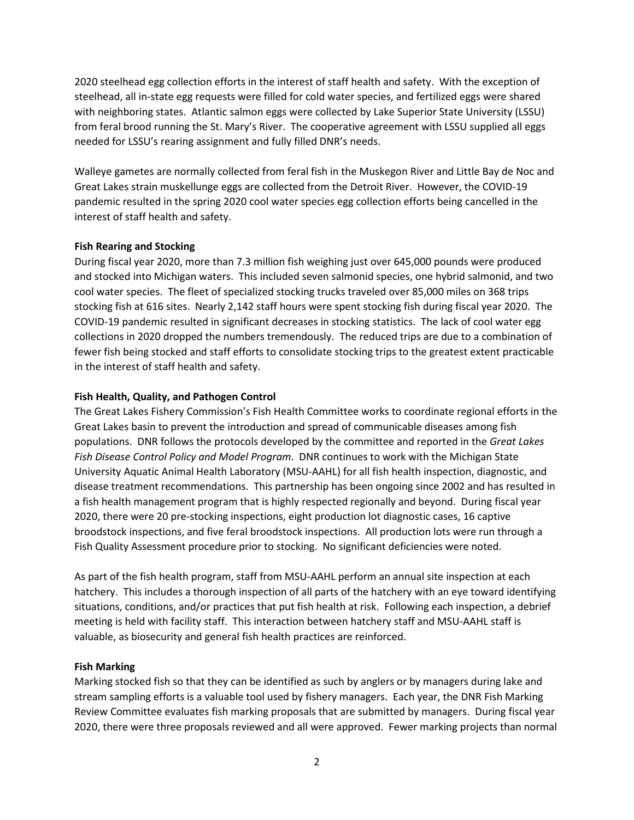2020 steelhead egg collection efforts in the interest of staff health and safety. With the exception of steelhead, all in-state egg requests were filled for cold water species, and fertilized eggs were shared with neighboring states. Atlantic salmon eggs were collected by Lake Superior State University (LSSU) from feral brood running the St. Mary's River. The cooperative agreement with LSSU supplied all eggs needed for LSSU's rearing assignment and fully filled DNR's needs.

Walleye gametes are normally collected from feral fish in the Muskegon River and Little Bay de Noc and Great Lakes strain muskellunge eggs are collected from the Detroit River. However, the COVID-19 pandemic resulted in the spring 2020 cool water species egg collection efforts being cancelled in the interest of staff health and safety.

### **Fish Rearing and Stocking**

During fiscal year 2020, more than 7.3 million fish weighing just over 645,000 pounds were produced and stocked into Michigan waters. This included seven salmonid species, one hybrid salmonid, and two cool water species. The fleet of specialized stocking trucks traveled over 85,000 miles on 368 trips stocking fish at 616 sites. Nearly 2,142 staff hours were spent stocking fish during fiscal year 2020. The COVID-19 pandemic resulted in significant decreases in stocking statistics. The lack of cool water egg collections in 2020 dropped the numbers tremendously. The reduced trips are due to a combination of fewer fish being stocked and staff efforts to consolidate stocking trips to the greatest extent practicable in the interest of staff health and safety.

## **Fish Health, Quality, and Pathogen Control**

The Great Lakes Fishery Commission's Fish Health Committee works to coordinate regional efforts in the Great Lakes basin to prevent the introduction and spread of communicable diseases among fish populations. DNR follows the protocols developed by the committee and reported in the *Great Lakes Fish Disease Control Policy and Model Program*. DNR continues to work with the Michigan State University Aquatic Animal Health Laboratory (MSU-AAHL) for all fish health inspection, diagnostic, and disease treatment recommendations. This partnership has been ongoing since 2002 and has resulted in a fish health management program that is highly respected regionally and beyond. During fiscal year 2020, there were 20 pre-stocking inspections, eight production lot diagnostic cases, 16 captive broodstock inspections, and five feral broodstock inspections. All production lots were run through a Fish Quality Assessment procedure prior to stocking. No significant deficiencies were noted.

As part of the fish health program, staff from MSU-AAHL perform an annual site inspection at each hatchery. This includes a thorough inspection of all parts of the hatchery with an eye toward identifying situations, conditions, and/or practices that put fish health at risk. Following each inspection, a debrief meeting is held with facility staff. This interaction between hatchery staff and MSU-AAHL staff is valuable, as biosecurity and general fish health practices are reinforced.

### **Fish Marking**

Marking stocked fish so that they can be identified as such by anglers or by managers during lake and stream sampling efforts is a valuable tool used by fishery managers. Each year, the DNR Fish Marking Review Committee evaluates fish marking proposals that are submitted by managers. During fiscal year 2020, there were three proposals reviewed and all were approved. Fewer marking projects than normal